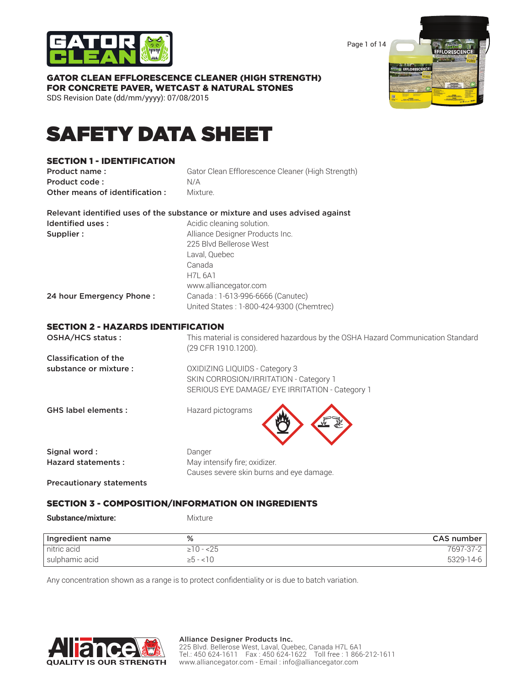

Page 1 of 14

# GATOR CLEAN EFFLORESCENCE CLEANER (HIGH STRENGTH) FOR CONCRETE PAVER, WETCAST & NATURAL STONES

SDS Revision Date (dd/mm/yyyy): 07/08/2015

# SAFETY DATA SHEET

# SECTION 1 - IDENTIFICATION

**Product name:** Gator Clean Efflorescence Cleaner (High Strength) Product code : N/A **Other means of identification :** Mixture.

|                          | Relevant identified uses of the substance or mixture and uses advised against |
|--------------------------|-------------------------------------------------------------------------------|
| Identified uses:         | Acidic cleaning solution.                                                     |
| Supplier:                | Alliance Designer Products Inc.                                               |
|                          | 225 Blvd Bellerose West                                                       |
|                          | Laval, Quebec                                                                 |
|                          | Canada                                                                        |
|                          | <b>H7L 6A1</b>                                                                |
|                          | www.alliancegator.com                                                         |
| 24 hour Emergency Phone: | Canada: 1-613-996-6666 (Canutec)                                              |
|                          | United States: 1-800-424-9300 (Chemtrec)                                      |

# SECTION 2 - HAZARDS IDENTIFICATION

| OSHA/HCS status:           | This material is considered hazardous by the OSHA Hazard Communication Standard<br>(29 CFR 1910.1200). |
|----------------------------|--------------------------------------------------------------------------------------------------------|
| Classification of the      |                                                                                                        |
| substance or mixture :     | OXIDIZING LIQUIDS - Category 3                                                                         |
|                            | SKIN CORROSION/IRRITATION - Category 1                                                                 |
|                            | SERIOUS EYE DAMAGE/ EYE IRRITATION - Category 1                                                        |
| <b>GHS label elements:</b> | Hazard pictograms                                                                                      |
| Signal word:               | Danger                                                                                                 |
| <b>Hazard statements:</b>  | May intensify fire; oxidizer.                                                                          |
|                            | Causes severe skin burns and eye damage.                                                               |

Precautionary statements

# SECTION 3 - COMPOSITION/INFORMATION ON INGREDIENTS

Substance/mixture: Mixture

| Ingredient name | %               | CAS number |
|-----------------|-----------------|------------|
| nitric acid     | $\geq$ 10 - <25 | 7697-37-2  |
| sulphamic acid  | $\ge 5 - 10$    | 5329-14-6  |

Any concentration shown as a range is to protect confidentiality or is due to batch variation.

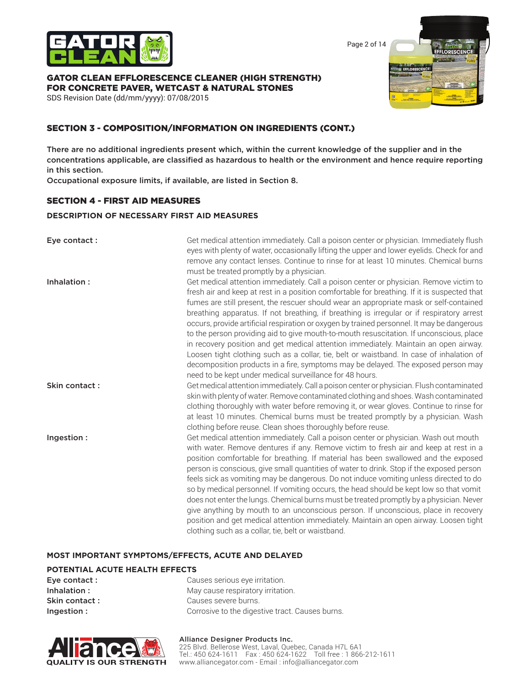

Page 2 of 14

**I OPESCE** 

### GATOR CLEAN EFFLORESCENCE CLEANER (HIGH STRENGTH) FOR CONCRETE PAVER, WETCAST & NATURAL STONES

SDS Revision Date (dd/mm/yyyy): 07/08/2015

# SECTION 3 - COMPOSITION/INFORMATION ON INGREDIENTS (CONT.)

There are no additional ingredients present which, within the current knowledge of the supplier and in the concentrations applicable, are classified as hazardous to health or the environment and hence require reporting in this section.

Occupational exposure limits, if available, are listed in Section 8.

# SECTION 4 - FIRST AID MEASURES

### **DESCRIPTION OF NECESSARY FIRST AID MEASURES**

| Eye contact:  | Get medical attention immediately. Call a poison center or physician. Immediately flush<br>eyes with plenty of water, occasionally lifting the upper and lower eyelids. Check for and<br>remove any contact lenses. Continue to rinse for at least 10 minutes. Chemical burns<br>must be treated promptly by a physician.                                                                                                                                                                                                                                                                                                                                                                                                                                                                                                                                                                                  |
|---------------|------------------------------------------------------------------------------------------------------------------------------------------------------------------------------------------------------------------------------------------------------------------------------------------------------------------------------------------------------------------------------------------------------------------------------------------------------------------------------------------------------------------------------------------------------------------------------------------------------------------------------------------------------------------------------------------------------------------------------------------------------------------------------------------------------------------------------------------------------------------------------------------------------------|
| Inhalation:   | Get medical attention immediately. Call a poison center or physician. Remove victim to<br>fresh air and keep at rest in a position comfortable for breathing. If it is suspected that<br>fumes are still present, the rescuer should wear an appropriate mask or self-contained<br>breathing apparatus. If not breathing, if breathing is irregular or if respiratory arrest<br>occurs, provide artificial respiration or oxygen by trained personnel. It may be dangerous<br>to the person providing aid to give mouth-to-mouth resuscitation. If unconscious, place<br>in recovery position and get medical attention immediately. Maintain an open airway.<br>Loosen tight clothing such as a collar, tie, belt or waistband. In case of inhalation of<br>decomposition products in a fire, symptoms may be delayed. The exposed person may<br>need to be kept under medical surveillance for 48 hours. |
| Skin contact: | Get medical attention immediately. Call a poison center or physician. Flush contaminated<br>skin with plenty of water. Remove contaminated clothing and shoes. Wash contaminated<br>clothing thoroughly with water before removing it, or wear gloves. Continue to rinse for<br>at least 10 minutes. Chemical burns must be treated promptly by a physician. Wash<br>clothing before reuse. Clean shoes thoroughly before reuse.                                                                                                                                                                                                                                                                                                                                                                                                                                                                           |
| Ingestion:    | Get medical attention immediately. Call a poison center or physician. Wash out mouth<br>with water. Remove dentures if any. Remove victim to fresh air and keep at rest in a<br>position comfortable for breathing. If material has been swallowed and the exposed<br>person is conscious, give small quantities of water to drink. Stop if the exposed person<br>feels sick as vomiting may be dangerous. Do not induce vomiting unless directed to do<br>so by medical personnel. If vomiting occurs, the head should be kept low so that vomit<br>does not enter the lungs. Chemical burns must be treated promptly by a physician. Never<br>give anything by mouth to an unconscious person. If unconscious, place in recovery<br>position and get medical attention immediately. Maintain an open airway. Loosen tight<br>clothing such as a collar, tie, belt or waistband.                          |

### **MOST IMPORTANT SYMPTOMS/EFFECTS, ACUTE AND DELAYED**

### **POTENTIAL ACUTE HEALTH EFFECTS**

| Eye contact : | Causes serious eye irritation.                  |
|---------------|-------------------------------------------------|
| Inhalation:   | May cause respiratory irritation.               |
| Skin contact: | Causes severe burns.                            |
| Ingestion:    | Corrosive to the digestive tract. Causes burns. |



### Alliance Designer Products Inc.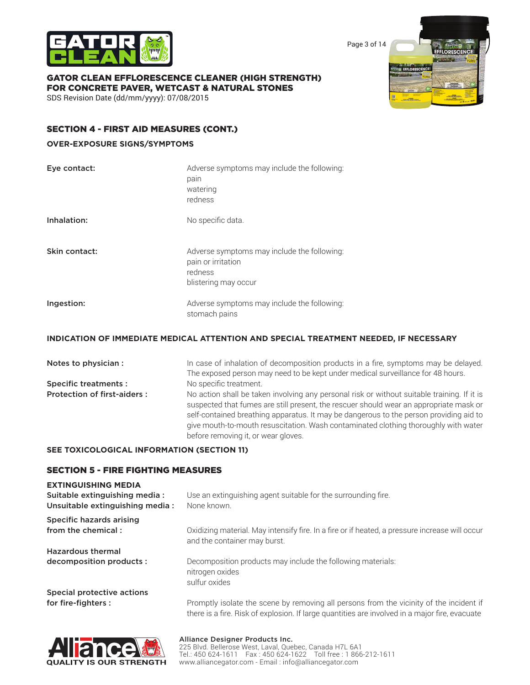

Page 3 of 14

# GATOR CLEAN EFFLORESCENCE CLEANER (HIGH STRENGTH) FOR CONCRETE PAVER, WETCAST & NATURAL STONES

SDS Revision Date (dd/mm/yyyy): 07/08/2015

# ODESCE

# SECTION 4 - FIRST AID MEASURES (CONT.)

# **OVER-EXPOSURE SIGNS/SYMPTOMS**

| Eye contact:  | Adverse symptoms may include the following:<br>pain<br>watering<br>redness                           |
|---------------|------------------------------------------------------------------------------------------------------|
| Inhalation:   | No specific data.                                                                                    |
| Skin contact: | Adverse symptoms may include the following:<br>pain or irritation<br>redness<br>blistering may occur |
| Ingestion:    | Adverse symptoms may include the following:<br>stomach pains                                         |

# **INDICATION OF IMMEDIATE MEDICAL ATTENTION AND SPECIAL TREATMENT NEEDED, IF NECESSARY**

| Notes to physician :               | In case of inhalation of decomposition products in a fire, symptoms may be delayed.<br>The exposed person may need to be kept under medical surveillance for 48 hours.                                                                                                                                                                                                                                        |
|------------------------------------|---------------------------------------------------------------------------------------------------------------------------------------------------------------------------------------------------------------------------------------------------------------------------------------------------------------------------------------------------------------------------------------------------------------|
| <b>Specific treatments:</b>        | No specific treatment.                                                                                                                                                                                                                                                                                                                                                                                        |
| <b>Protection of first-aiders:</b> | No action shall be taken involving any personal risk or without suitable training. If it is<br>suspected that fumes are still present, the rescuer should wear an appropriate mask or<br>self-contained breathing apparatus. It may be dangerous to the person providing aid to<br>give mouth-to-mouth resuscitation. Wash contaminated clothing thoroughly with water<br>before removing it, or wear gloves. |

# **SEE TOXICOLOGICAL INFORMATION (SECTION 11)**

# SECTION 5 - FIRE FIGHTING MEASURES

# **EXTINGUISHING MEDIA**

| Suitable extinguishing media:<br>Unsuitable extinguishing media: | Use an extinguishing agent suitable for the surrounding fire.<br>None known.                                                                                                              |
|------------------------------------------------------------------|-------------------------------------------------------------------------------------------------------------------------------------------------------------------------------------------|
| Specific hazards arising<br>from the chemical:                   | Oxidizing material. May intensify fire. In a fire or if heated, a pressure increase will occur<br>and the container may burst.                                                            |
| <b>Hazardous thermal</b>                                         |                                                                                                                                                                                           |
| decomposition products :                                         | Decomposition products may include the following materials:<br>nitrogen oxides<br>sulfur oxides                                                                                           |
| Special protective actions                                       |                                                                                                                                                                                           |
| for fire-fighters :                                              | Promptly isolate the scene by removing all persons from the vicinity of the incident if<br>there is a fire. Risk of explosion. If large quantities are involved in a major fire, evacuate |

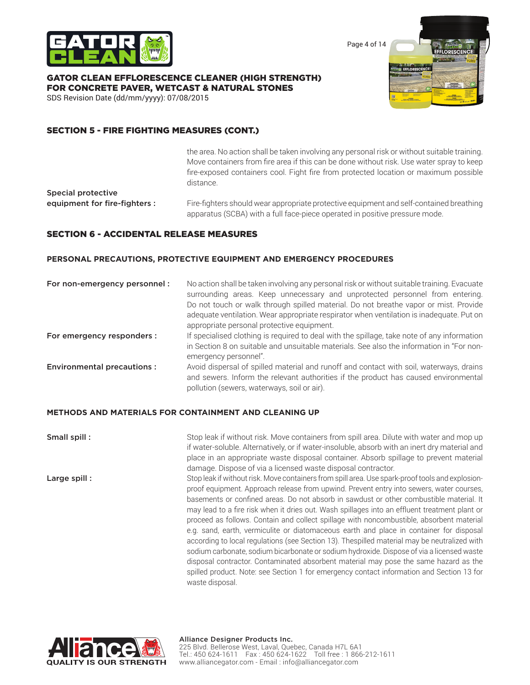

Page 4 of 14

### GATOR CLEAN EFFLORESCENCE CLEANER (HIGH STRENGTH) FOR CONCRETE PAVER, WETCAST & NATURAL STONES

SDS Revision Date (dd/mm/yyyy): 07/08/2015

# SECTION 5 - FIRE FIGHTING MEASURES (CONT.)

the area. No action shall be taken involving any personal risk or without suitable training. Move containers from fire area if this can be done without risk. Use water spray to keep fire-exposed containers cool. Fight fire from protected location or maximum possible distance.

Special protective

equipment for fire-fighters : Fire-fighters should wear appropriate protective equipment and self-contained breathing apparatus (SCBA) with a full face-piece operated in positive pressure mode.

# SECTION 6 - ACCIDENTAL RELEASE MEASURES

### **PERSONAL PRECAUTIONS, PROTECTIVE EQUIPMENT AND EMERGENCY PROCEDURES**

| For non-emergency personnel:      | No action shall be taken involving any personal risk or without suitable training. Evacuate<br>surrounding areas. Keep unnecessary and unprotected personnel from entering.<br>Do not touch or walk through spilled material. Do not breathe vapor or mist. Provide<br>adequate ventilation. Wear appropriate respirator when ventilation is inadequate. Put on<br>appropriate personal protective equipment. |
|-----------------------------------|---------------------------------------------------------------------------------------------------------------------------------------------------------------------------------------------------------------------------------------------------------------------------------------------------------------------------------------------------------------------------------------------------------------|
| For emergency responders :        | If specialised clothing is required to deal with the spillage, take note of any information<br>in Section 8 on suitable and unsuitable materials. See also the information in "For non-<br>emergency personnel".                                                                                                                                                                                              |
| <b>Environmental precautions:</b> | Avoid dispersal of spilled material and runoff and contact with soil, waterways, drains<br>and sewers. Inform the relevant authorities if the product has caused environmental<br>pollution (sewers, waterways, soil or air).                                                                                                                                                                                 |

### **METHODS AND MATERIALS FOR CONTAINMENT AND CLEANING UP**

**Small spill :** Stop leak if without risk. Move containers from spill area. Dilute with water and mop up if water-soluble. Alternatively, or if water-insoluble, absorb with an inert dry material and place in an appropriate waste disposal container. Absorb spillage to prevent material damage. Dispose of via a licensed waste disposal contractor.

Large spill : Stop leak if without risk. Move containers from spill area. Use spark-proof tools and explosionproof equipment. Approach release from upwind. Prevent entry into sewers, water courses, basements or confined areas. Do not absorb in sawdust or other combustible material. It may lead to a fire risk when it dries out. Wash spillages into an effluent treatment plant or proceed as follows. Contain and collect spillage with noncombustible, absorbent material e.g. sand, earth, vermiculite or diatomaceous earth and place in container for disposal according to local regulations (see Section 13). Thespilled material may be neutralized with sodium carbonate, sodium bicarbonate or sodium hydroxide. Dispose of via a licensed waste disposal contractor. Contaminated absorbent material may pose the same hazard as the spilled product. Note: see Section 1 for emergency contact information and Section 13 for waste disposal.

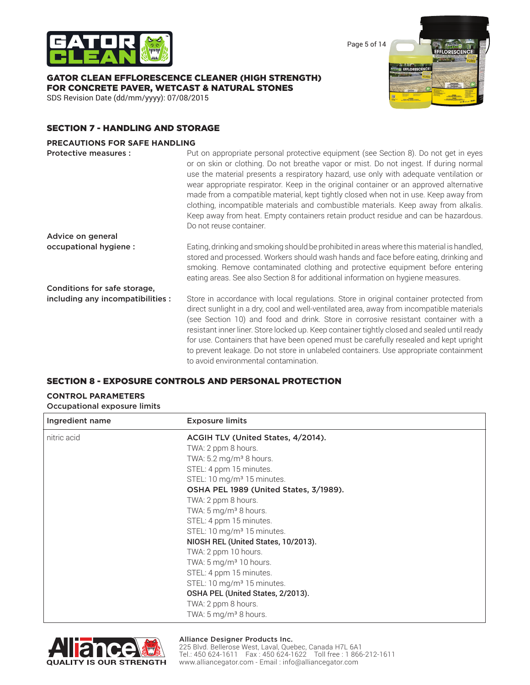

Page 5 of 14

# GATOR CLEAN EFFLORESCENCE CLEANER (HIGH STRENGTH) FOR CONCRETE PAVER, WETCAST & NATURAL STONES

SDS Revision Date (dd/mm/yyyy): 07/08/2015



# SECTION 7 - HANDLING AND STORAGE

### **PRECAUTIONS FOR SAFE HANDLING**

| Protective measures :             | Put on appropriate personal protective equipment (see Section 8). Do not get in eyes<br>or on skin or clothing. Do not breathe vapor or mist. Do not ingest. If during normal<br>use the material presents a respiratory hazard, use only with adequate ventilation or<br>wear appropriate respirator. Keep in the original container or an approved alternative<br>made from a compatible material, kept tightly closed when not in use. Keep away from<br>clothing, incompatible materials and combustible materials. Keep away from alkalis.<br>Keep away from heat. Empty containers retain product residue and can be hazardous.<br>Do not reuse container. |
|-----------------------------------|------------------------------------------------------------------------------------------------------------------------------------------------------------------------------------------------------------------------------------------------------------------------------------------------------------------------------------------------------------------------------------------------------------------------------------------------------------------------------------------------------------------------------------------------------------------------------------------------------------------------------------------------------------------|
| Advice on general                 |                                                                                                                                                                                                                                                                                                                                                                                                                                                                                                                                                                                                                                                                  |
| occupational hygiene :            | Eating, drinking and smoking should be prohibited in areas where this material is handled,<br>stored and processed. Workers should wash hands and face before eating, drinking and<br>smoking. Remove contaminated clothing and protective equipment before entering<br>eating areas. See also Section 8 for additional information on hygiene measures.                                                                                                                                                                                                                                                                                                         |
| Conditions for safe storage,      |                                                                                                                                                                                                                                                                                                                                                                                                                                                                                                                                                                                                                                                                  |
| including any incompatibilities : | Store in accordance with local regulations. Store in original container protected from<br>direct sunlight in a dry, cool and well-ventilated area, away from incompatible materials<br>(see Section 10) and food and drink. Store in corrosive resistant container with a<br>resistant inner liner. Store locked up. Keep container tightly closed and sealed until ready<br>for use. Containers that have been opened must be carefully resealed and kept upright<br>to prevent leakage. Do not store in unlabeled containers. Use appropriate containment<br>to avoid environmental contamination.                                                             |

# SECTION 8 - EXPOSURE CONTROLS AND PERSONAL PROTECTION

### **CONTROL PARAMETERS** Occupational exposure limits

| Ingredient name | <b>Exposure limits</b>                 |  |
|-----------------|----------------------------------------|--|
| nitric acid     | ACGIH TLV (United States, 4/2014).     |  |
|                 | TWA: 2 ppm 8 hours.                    |  |
|                 | TWA: $5.2 \text{ mg/m}^3$ 8 hours.     |  |
|                 | STEL: 4 ppm 15 minutes.                |  |
|                 | STEL: 10 mg/m <sup>3</sup> 15 minutes. |  |
|                 | OSHA PEL 1989 (United States, 3/1989). |  |
|                 | TWA: 2 ppm 8 hours.                    |  |
|                 | TWA: 5 mg/m <sup>3</sup> 8 hours.      |  |
|                 | STEL: 4 ppm 15 minutes.                |  |
|                 | STEL: 10 mg/m <sup>3</sup> 15 minutes. |  |
|                 | NIOSH REL (United States, 10/2013).    |  |
|                 | TWA: 2 ppm 10 hours.                   |  |
|                 | TWA: 5 mg/m <sup>3</sup> 10 hours.     |  |
|                 | STEL: 4 ppm 15 minutes.                |  |
|                 | STEL: 10 mg/m <sup>3</sup> 15 minutes. |  |
|                 | OSHA PEL (United States, 2/2013).      |  |
|                 | TWA: 2 ppm 8 hours.                    |  |
|                 | TWA: 5 mg/m <sup>3</sup> 8 hours.      |  |

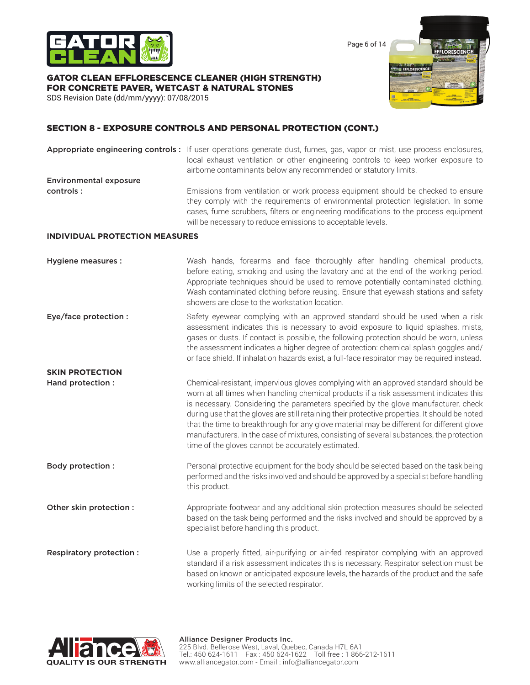

Page 6 of 14

### GATOR CLEAN EFFLORESCENCE CLEANER (HIGH STRENGTH) FOR CONCRETE PAVER, WETCAST & NATURAL STONES

SDS Revision Date (dd/mm/yyyy): 07/08/2015



# SECTION 8 - EXPOSURE CONTROLS AND PERSONAL PROTECTION (CONT.)

Appropriate engineering controls : If user operations generate dust, fumes, gas, vapor or mist, use process enclosures, local exhaust ventilation or other engineering controls to keep worker exposure to airborne contaminants below any recommended or statutory limits. Environmental exposure **controls :** Emissions from ventilation or work process equipment should be checked to ensure they comply with the requirements of environmental protection legislation. In some cases, fume scrubbers, filters or engineering modifications to the process equipment will be necessary to reduce emissions to acceptable levels.

### **INDIVIDUAL PROTECTION MEASURES**

| Hygiene measures :      | Wash hands, forearms and face thoroughly after handling chemical products,<br>before eating, smoking and using the lavatory and at the end of the working period.<br>Appropriate techniques should be used to remove potentially contaminated clothing.<br>Wash contaminated clothing before reusing. Ensure that eyewash stations and safety<br>showers are close to the workstation location.                                                                                                                                                                                                                      |
|-------------------------|----------------------------------------------------------------------------------------------------------------------------------------------------------------------------------------------------------------------------------------------------------------------------------------------------------------------------------------------------------------------------------------------------------------------------------------------------------------------------------------------------------------------------------------------------------------------------------------------------------------------|
| Eye/face protection :   | Safety eyewear complying with an approved standard should be used when a risk<br>assessment indicates this is necessary to avoid exposure to liquid splashes, mists,<br>gases or dusts. If contact is possible, the following protection should be worn, unless<br>the assessment indicates a higher degree of protection: chemical splash goggles and/<br>or face shield. If inhalation hazards exist, a full-face respirator may be required instead.                                                                                                                                                              |
| <b>SKIN PROTECTION</b>  |                                                                                                                                                                                                                                                                                                                                                                                                                                                                                                                                                                                                                      |
| Hand protection :       | Chemical-resistant, impervious gloves complying with an approved standard should be<br>worn at all times when handling chemical products if a risk assessment indicates this<br>is necessary. Considering the parameters specified by the glove manufacturer, check<br>during use that the gloves are still retaining their protective properties. It should be noted<br>that the time to breakthrough for any glove material may be different for different glove<br>manufacturers. In the case of mixtures, consisting of several substances, the protection<br>time of the gloves cannot be accurately estimated. |
| <b>Body protection:</b> | Personal protective equipment for the body should be selected based on the task being<br>performed and the risks involved and should be approved by a specialist before handling<br>this product.                                                                                                                                                                                                                                                                                                                                                                                                                    |
| Other skin protection : | Appropriate footwear and any additional skin protection measures should be selected<br>based on the task being performed and the risks involved and should be approved by a<br>specialist before handling this product.                                                                                                                                                                                                                                                                                                                                                                                              |
| Respiratory protection: | Use a properly fitted, air-purifying or air-fed respirator complying with an approved<br>standard if a risk assessment indicates this is necessary. Respirator selection must be<br>based on known or anticipated exposure levels, the hazards of the product and the safe<br>working limits of the selected respirator.                                                                                                                                                                                                                                                                                             |

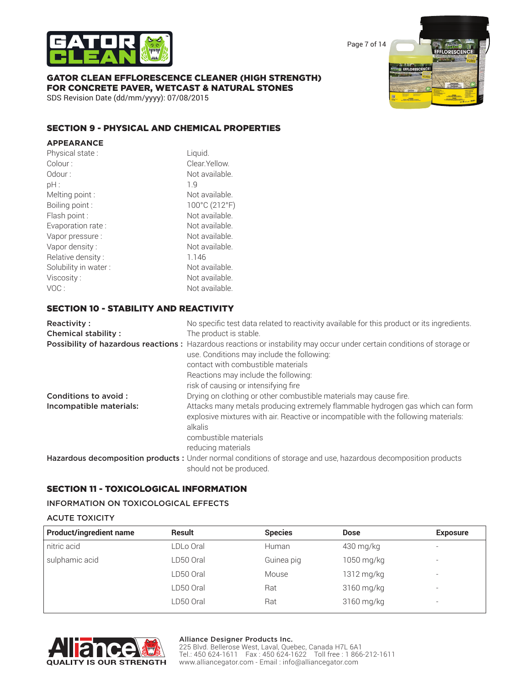

Page 7 of 14

# GATOR CLEAN EFFLORESCENCE CLEANER (HIGH STRENGTH) FOR CONCRETE PAVER, WETCAST & NATURAL STONES

SDS Revision Date (dd/mm/yyyy): 07/08/2015

# SECTION 9 - PHYSICAL AND CHEMICAL PROPERTIES

| <b>APPEARANCE</b>    |                |
|----------------------|----------------|
| Physical state:      | Liquid.        |
| Colour:              | Clear Yellow.  |
| Odour:               | Not available. |
| pH:                  | 1.9            |
| Melting point :      | Not available. |
| Boiling point :      | 100°C (212°F)  |
| Flash point:         | Not available. |
| Evaporation rate:    | Not available. |
| Vapor pressure:      | Not available. |
| Vapor density:       | Not available. |
| Relative density:    | 1.146          |
| Solubility in water: | Not available. |
| Viscosity:           | Not available. |
| VOC:                 | Not available. |
|                      |                |

# SECTION 10 - STABILITY AND REACTIVITY

| Reactivity:<br><b>Chemical stability:</b> | No specific test data related to reactivity available for this product or its ingredients.<br>The product is stable.                                                                                        |
|-------------------------------------------|-------------------------------------------------------------------------------------------------------------------------------------------------------------------------------------------------------------|
|                                           | Possibility of hazardous reactions: Hazardous reactions or instability may occur under certain conditions of storage or<br>use. Conditions may include the following:<br>contact with combustible materials |
|                                           | Reactions may include the following:                                                                                                                                                                        |
|                                           | risk of causing or intensifying fire                                                                                                                                                                        |
| Conditions to avoid:                      | Drying on clothing or other combustible materials may cause fire.                                                                                                                                           |
| Incompatible materials:                   | Attacks many metals producing extremely flammable hydrogen gas which can form<br>explosive mixtures with air. Reactive or incompatible with the following materials:<br>alkalis<br>combustible materials    |
|                                           |                                                                                                                                                                                                             |
|                                           | reducing materials                                                                                                                                                                                          |
|                                           | Hazardous decomposition products : Under normal conditions of storage and use, hazardous decomposition products<br>should not be produced.                                                                  |

# SECTION 11 - TOXICOLOGICAL INFORMATION

### INFORMATION ON TOXICOLOGICAL EFFECTS

### ACUTE TOXICITY

| <b>Product/ingredient name</b> | Result    | <b>Species</b> | <b>Dose</b> | <b>Exposure</b>          |
|--------------------------------|-----------|----------------|-------------|--------------------------|
| nitric acid                    | LDLo Oral | Human          | 430 mg/kg   | $\overline{\phantom{0}}$ |
| sulphamic acid                 | LD50 Oral | Guinea pig     | 1050 mg/kg  | $\overline{\phantom{a}}$ |
|                                | LD50 Oral | Mouse          | 1312 mg/kg  | $\overline{\phantom{a}}$ |
|                                | LD50 Oral | Rat            | 3160 mg/kg  | $\overline{\phantom{a}}$ |
|                                | LD50 Oral | Rat            | 3160 mg/kg  | $\overline{\phantom{a}}$ |
|                                |           |                |             |                          |



### Alliance Designer Products Inc.

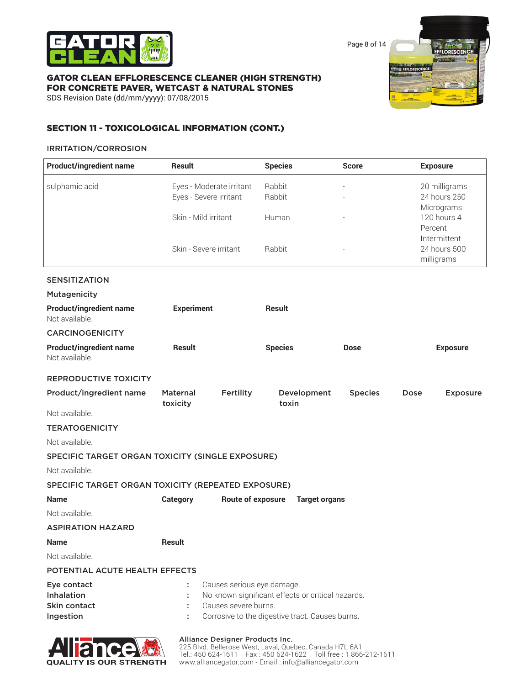

Page 8 of 14

### GATOR CLEAN EFFLORESCENCE CLEANER (HIGH STRENGTH) FOR CONCRETE PAVER, WETCAST & NATURAL STONES

SDS Revision Date (dd/mm/yyyy): 07/08/2015



# SECTION 11 - TOXICOLOGICAL INFORMATION (CONT.)

### IRRITATION/CORROSION

| <b>Product/ingredient name</b>                     | <b>Result</b>          |                            | <b>Species</b>                                    | <b>Score</b>   | <b>Exposure</b>              |
|----------------------------------------------------|------------------------|----------------------------|---------------------------------------------------|----------------|------------------------------|
| sulphamic acid                                     |                        | Eyes - Moderate irritant   | Rabbit                                            |                | 20 milligrams                |
|                                                    | Eyes - Severe irritant |                            | Rabbit                                            |                | 24 hours 250                 |
|                                                    | Skin - Mild irritant   |                            | Human                                             |                | Micrograms<br>120 hours 4    |
|                                                    |                        |                            |                                                   |                | Percent                      |
|                                                    | Skin - Severe irritant |                            | Rabbit                                            |                | Intermittent<br>24 hours 500 |
|                                                    |                        |                            |                                                   |                | milligrams                   |
| <b>SENSITIZATION</b>                               |                        |                            |                                                   |                |                              |
| Mutagenicity                                       |                        |                            |                                                   |                |                              |
| <b>Product/ingredient name</b><br>Not available.   | <b>Experiment</b>      |                            | <b>Result</b>                                     |                |                              |
| <b>CARCINOGENICITY</b>                             |                        |                            |                                                   |                |                              |
| <b>Product/ingredient name</b><br>Not available.   | <b>Result</b>          |                            | <b>Species</b>                                    | <b>Dose</b>    | <b>Exposure</b>              |
| <b>REPRODUCTIVE TOXICITY</b>                       |                        |                            |                                                   |                |                              |
| Product/ingredient name                            | Maternal<br>toxicity   | Fertility                  | Development<br>toxin                              | <b>Species</b> | Dose<br><b>Exposure</b>      |
| Not available.                                     |                        |                            |                                                   |                |                              |
| <b>TERATOGENICITY</b>                              |                        |                            |                                                   |                |                              |
| Not available.                                     |                        |                            |                                                   |                |                              |
| SPECIFIC TARGET ORGAN TOXICITY (SINGLE EXPOSURE)   |                        |                            |                                                   |                |                              |
| Not available.                                     |                        |                            |                                                   |                |                              |
| SPECIFIC TARGET ORGAN TOXICITY (REPEATED EXPOSURE) |                        |                            |                                                   |                |                              |
| <b>Name</b>                                        | <b>Category</b>        | Route of exposure          | <b>Target organs</b>                              |                |                              |
| Not available.                                     |                        |                            |                                                   |                |                              |
| <b>ASPIRATION HAZARD</b>                           |                        |                            |                                                   |                |                              |
| <b>Name</b>                                        | <b>Result</b>          |                            |                                                   |                |                              |
| Not available.                                     |                        |                            |                                                   |                |                              |
| POTENTIAL ACUTE HEALTH EFFECTS                     |                        |                            |                                                   |                |                              |
| Eye contact                                        | t                      | Causes serious eye damage. |                                                   |                |                              |
| Inhalation                                         |                        |                            | No known significant effects or critical hazards. |                |                              |
| Skin contact<br>Ingestion                          |                        | Causes severe burns.       | Corrosive to the digestive tract. Causes burns.   |                |                              |
|                                                    |                        |                            |                                                   |                |                              |
|                                                    |                        |                            |                                                   |                |                              |



### Alliance Designer Products Inc.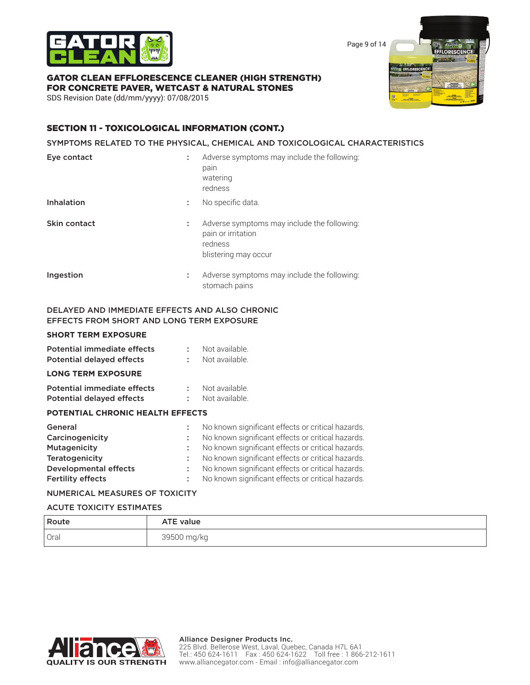

Page 9 of 14

**GI EFFL** 

FFLORESCENC

# GATOR CLEAN EFFLORESCENCE CLEANER (HIGH STRENGTH) FOR CONCRETE PAVER, WETCAST & NATURAL STONES

SDS Revision Date (dd/mm/yyyy): 07/08/2015

# SECTION 11 - TOXICOLOGICAL INFORMATION (CONT.)

### SYMPTOMS RELATED TO THE PHYSICAL, CHEMICAL AND TOXICOLOGICAL CHARACTERISTICS

| Eye contact                                    | ÷ | Adverse symptoms may include the following:<br>pain<br>watering<br>redness                           |
|------------------------------------------------|---|------------------------------------------------------------------------------------------------------|
| <b>Inhalation</b>                              | ÷ | No specific data.                                                                                    |
| Skin contact                                   | ÷ | Adverse symptoms may include the following:<br>pain or irritation<br>redness<br>blistering may occur |
| Ingestion                                      | ÷ | Adverse symptoms may include the following:<br>stomach pains                                         |
| DELAYED AND IMMEDIATE EFFECTS AND ALSO CHRONIC |   |                                                                                                      |

# EFFECTS FROM SHORT AND LONG TERM EXPOSURE

# **SHORT TERM EXPOSURE**

| Potential immediate effects<br><b>Potential delayed effects</b> | ÷       | Not available.<br>Not available.                                                                       |
|-----------------------------------------------------------------|---------|--------------------------------------------------------------------------------------------------------|
| <b>LONG TERM EXPOSURE</b>                                       |         |                                                                                                        |
| Potential immediate effects<br><b>Potential delayed effects</b> | ÷.<br>÷ | Not available.<br>Not available.                                                                       |
| <b>POTENTIAL CHRONIC HEALTH EFFECTS</b>                         |         |                                                                                                        |
| General<br>Carcinogenicity                                      | ÷.      | No known significant effects or critical hazards.<br>No known significant effects or critical hazards. |
| Mutagenicity                                                    | ÷.      | No known significant effects or critical hazards.                                                      |
| Teratogenicity                                                  | ÷       | No known significant effects or critical hazards.                                                      |
| Developmental effects                                           | ÷       | No known significant effects or critical hazards.                                                      |
| <b>Fertility effects</b>                                        |         | No known significant effects or critical hazards.                                                      |

### NUMERICAL MEASURES OF TOXICITY

### ACUTE TOXICITY ESTIMATES

| Route  | <b>ATE value</b> |
|--------|------------------|
| ' Oral | 39500 mg/kg      |

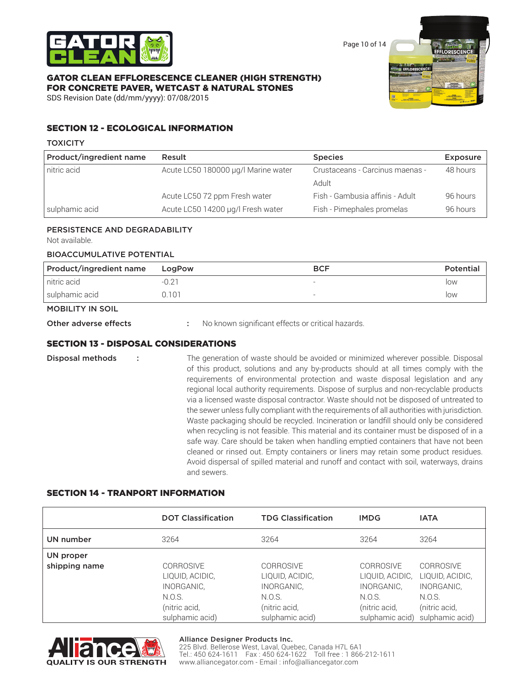

Page 10 of 14

# GATOR CLEAN EFFLORESCENCE CLEANER (HIGH STRENGTH) FOR CONCRETE PAVER, WETCAST & NATURAL STONES

SDS Revision Date (dd/mm/yyyy): 07/08/2015



# SECTION 12 - ECOLOGICAL INFORMATION

### **TOXICITY**

| Product/ingredient name | Result                              | <b>Species</b>                  | Exposure |
|-------------------------|-------------------------------------|---------------------------------|----------|
| nitric acid             | Acute LC50 180000 µg/l Marine water | Crustaceans - Carcinus maenas - | 48 hours |
|                         |                                     | Adult                           |          |
|                         | Acute LC50 72 ppm Fresh water       | Fish - Gambusia affinis - Adult | 96 hours |
| sulphamic acid          | Acute LC50 14200 µg/l Fresh water   | Fish - Pimephales promelas      | 96 hours |

# PERSISTENCE AND DEGRADABILITY

Not available.

# BIOACCUMULATIVE POTENTIAL

| Product/ingredient name | LogPow | <b>BCF</b> | <b>Potential</b> |
|-------------------------|--------|------------|------------------|
| nitric acid             | $-0.2$ |            | low              |
| sulphamic acid          | 0.101  |            | low              |

# MOBILITY IN SOIL

Other adverse effects : No known significant effects or critical hazards.

# SECTION 13 - DISPOSAL CONSIDERATIONS

**Disposal methods** : The generation of waste should be avoided or minimized wherever possible. Disposal of this product, solutions and any by-products should at all times comply with the requirements of environmental protection and waste disposal legislation and any regional local authority requirements. Dispose of surplus and non-recyclable products via a licensed waste disposal contractor. Waste should not be disposed of untreated to the sewer unless fully compliant with the requirements of all authorities with jurisdiction. Waste packaging should be recycled. Incineration or landfill should only be considered when recycling is not feasible. This material and its container must be disposed of in a safe way. Care should be taken when handling emptied containers that have not been cleaned or rinsed out. Empty containers or liners may retain some product residues. Avoid dispersal of spilled material and runoff and contact with soil, waterways, drains and sewers.

# SECTION 14 - TRANPORT INFORMATION

|                            | <b>DOT Classification</b>                                             | <b>TDG Classification</b>                                             | <b>IMDG</b>                                                           | <b>IATA</b>                                                           |
|----------------------------|-----------------------------------------------------------------------|-----------------------------------------------------------------------|-----------------------------------------------------------------------|-----------------------------------------------------------------------|
| UN number                  | 3264                                                                  | 3264                                                                  | 3264                                                                  | 3264                                                                  |
| UN proper<br>shipping name | CORROSIVE<br>LIQUID, ACIDIC,<br>INORGANIC,<br>N.O.S.<br>(nitric acid, | CORROSIVE<br>LIQUID, ACIDIC,<br>INORGANIC,<br>N.O.S.<br>(nitric acid, | CORROSIVE<br>LIQUID, ACIDIC,<br>INORGANIC,<br>N.O.S.<br>(nitric acid, | CORROSIVE<br>LIQUID, ACIDIC,<br>INORGANIC,<br>N.O.S.<br>(nitric acid, |
|                            | sulphamic acid)                                                       | sulphamic acid)                                                       | sulphamic acid)                                                       | sulphamic acid)                                                       |



### Alliance Designer Products Inc.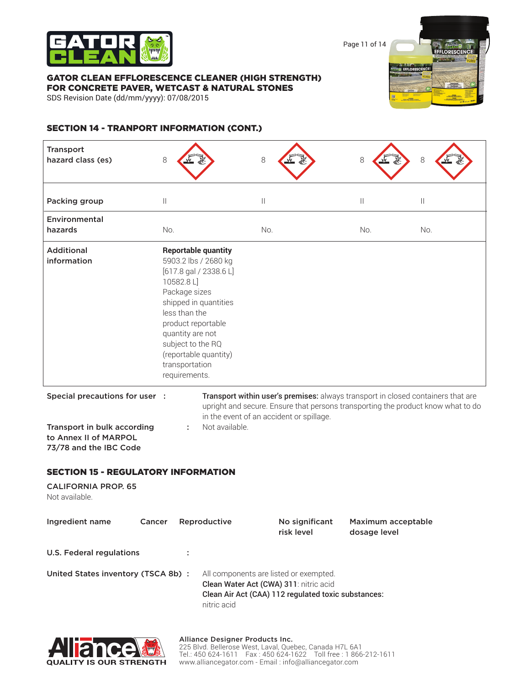

Page 11 of 14

### GATOR CLEAN EFFLORESCENCE CLEANER (HIGH STRENGTH) FOR CONCRETE PAVER, WETCAST & NATURAL STONES

SDS Revision Date (dd/mm/yyyy): 07/08/2015



# SECTION 14 - TRANPORT INFORMATION (CONT.)

| <b>Transport</b><br>hazard class (es)                                                                            | 8                                                                                                                                             |                                                                                                                                  | 8                                                                                                                                                                                                                | 8                                  | 8   |
|------------------------------------------------------------------------------------------------------------------|-----------------------------------------------------------------------------------------------------------------------------------------------|----------------------------------------------------------------------------------------------------------------------------------|------------------------------------------------------------------------------------------------------------------------------------------------------------------------------------------------------------------|------------------------------------|-----|
| Packing group                                                                                                    | $\mathbb{I}$                                                                                                                                  |                                                                                                                                  | $\vert\vert$                                                                                                                                                                                                     | $\mathbb{I}$                       | Ш   |
| Environmental<br>hazards                                                                                         | No.                                                                                                                                           |                                                                                                                                  | No.                                                                                                                                                                                                              | No.                                | No. |
| <b>Additional</b><br>information                                                                                 | 10582.8L]<br>Package sizes<br>less than the<br>product reportable<br>quantity are not<br>subject to the RQ<br>transportation<br>requirements. | <b>Reportable quantity</b><br>5903.2 lbs / 2680 kg<br>$[617.8$ gal / 2338.6 L]<br>shipped in quantities<br>(reportable quantity) |                                                                                                                                                                                                                  |                                    |     |
| Special precautions for user :<br>Transport in bulk according<br>to Annex II of MARPOL<br>73/78 and the IBC Code |                                                                                                                                               | Not available.                                                                                                                   | Transport within user's premises: always transport in closed containers that are<br>upright and secure. Ensure that persons transporting the product know what to do<br>in the event of an accident or spillage. |                                    |     |
| <b>SECTION 15 - REGULATORY INFORMATION</b>                                                                       |                                                                                                                                               |                                                                                                                                  |                                                                                                                                                                                                                  |                                    |     |
| <b>CALIFORNIA PROP. 65</b><br>Not available.                                                                     |                                                                                                                                               |                                                                                                                                  |                                                                                                                                                                                                                  |                                    |     |
| Ingredient name<br>Cancer                                                                                        |                                                                                                                                               | Reproductive                                                                                                                     | No significant<br>risk level                                                                                                                                                                                     | Maximum acceptable<br>dosage level |     |
| <b>U.S. Federal regulations</b>                                                                                  | ÷                                                                                                                                             |                                                                                                                                  |                                                                                                                                                                                                                  |                                    |     |
| United States inventory (TSCA 8b) :                                                                              |                                                                                                                                               | nitric acid                                                                                                                      | All components are listed or exempted.<br>Clean Water Act (CWA) 311: nitric acid<br>Clean Air Act (CAA) 112 regulated toxic substances:                                                                          |                                    |     |

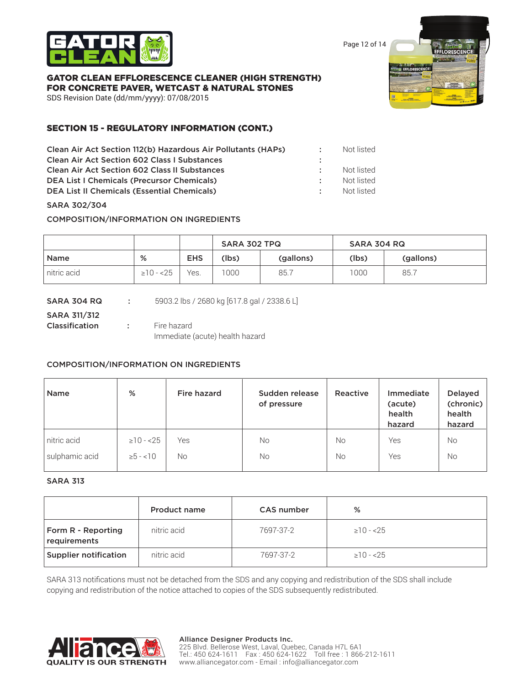

Page 12 of 14

# GATOR CLEAN EFFLORESCENCE CLEANER (HIGH STRENGTH) FOR CONCRETE PAVER, WETCAST & NATURAL STONES

SDS Revision Date (dd/mm/yyyy): 07/08/2015

# SECTION 15 - REGULATORY INFORMATION (CONT.)

| Clean Air Act Section 112(b) Hazardous Air Pollutants (HAPs) |                 | Not listed |
|--------------------------------------------------------------|-----------------|------------|
| <b>Clean Air Act Section 602 Class I Substances</b>          |                 |            |
| <b>Clean Air Act Section 602 Class II Substances</b>         |                 | Not listed |
| <b>DEA List I Chemicals (Precursor Chemicals)</b>            |                 | Not listed |
| <b>DEA List II Chemicals (Essential Chemicals)</b>           | <b>Contract</b> | Not listed |
|                                                              |                 |            |

### SARA 302/304

COMPOSITION/INFORMATION ON INGREDIENTS

|             |                 |            | SARA 302 TPQ |           | SARA 304 RQ |           |
|-------------|-----------------|------------|--------------|-----------|-------------|-----------|
| <b>Name</b> | %               | <b>EHS</b> | (lbs)        | (gallons) | (lbs)       | (gallons) |
| nitric acid | $\geq$ 10 - <25 | Yes.       | 1000         | 85.7      | 1000        | 85.7      |

| SARA 304 RQ    |                 | 5903.2 lbs / 2680 kg [617.8 gal / 2338.6 L] |
|----------------|-----------------|---------------------------------------------|
| SARA 311/312   |                 |                                             |
| Classification | <b>Contract</b> | Fire hazard                                 |
|                |                 | Immediate (acute) health hazard             |

### COMPOSITION/INFORMATION ON INGREDIENTS

| <b>Name</b>    | %              | Fire hazard | Sudden release<br>of pressure | Reactive  | Immediate<br>(acute)<br>health<br>hazard | <b>Delayed</b><br>(chronic)<br>health<br>hazard |
|----------------|----------------|-------------|-------------------------------|-----------|------------------------------------------|-------------------------------------------------|
| nitric acid    | $\geq 10 - 25$ | Yes         | No                            | <b>No</b> | Yes                                      | <b>No</b>                                       |
| sulphamic acid | $\ge 5 - 10$   | No.         | No                            | <b>No</b> | Yes                                      | <b>No</b>                                       |

# SARA 313

|                                    | <b>Product name</b> | <b>CAS number</b> | %               |
|------------------------------------|---------------------|-------------------|-----------------|
| Form R - Reporting<br>requirements | nitric acid         | 7697-37-2         | $\geq$ 10 - <25 |
| <b>Supplier notification</b>       | nitric acid         | 7697-37-2         | $\geq 10 - 25$  |

SARA 313 notifications must not be detached from the SDS and any copying and redistribution of the SDS shall include copying and redistribution of the notice attached to copies of the SDS subsequently redistributed.

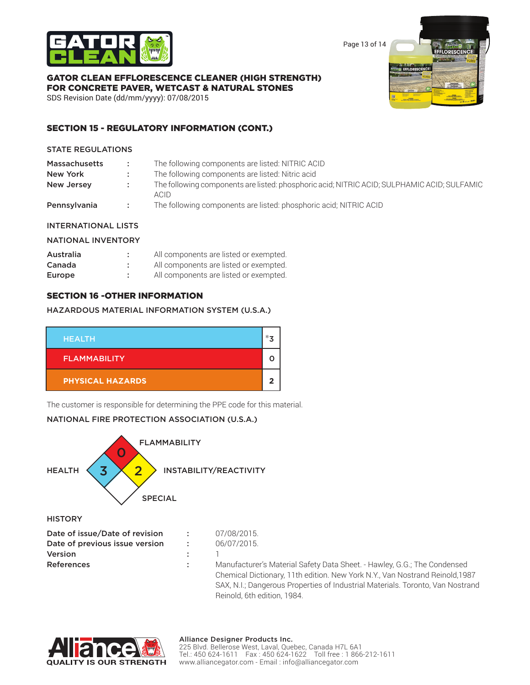

Page 13 of 14

# GATOR CLEAN EFFLORESCENCE CLEANER (HIGH STRENGTH) FOR CONCRETE PAVER, WETCAST & NATURAL STONES

SDS Revision Date (dd/mm/yyyy): 07/08/2015

# SECTION 15 - REGULATORY INFORMATION (CONT.)

### STATE REGULATIONS

| <b>Massachusetts</b> | ÷.     | The following components are listed: NITRIC ACID                                                    |
|----------------------|--------|-----------------------------------------------------------------------------------------------------|
| New York             |        | The following components are listed: Nitric acid                                                    |
| New Jersey           |        | The following components are listed: phosphoric acid; NITRIC ACID; SULPHAMIC ACID; SULFAMIC<br>ACID |
| Pennsylvania         | - 11 - | The following components are listed: phosphoric acid; NITRIC ACID                                   |

# INTERNATIONAL LISTS

# NATIONAL INVENTORY

| Australia | ٠ | All components are listed or exempted. |
|-----------|---|----------------------------------------|
| Canada    |   | All components are listed or exempted. |
| Europe    | ۰ | All components are listed or exempted. |

# SECTION 16 -OTHER INFORMATION

# HAZARDOUS MATERIAL INFORMATION SYSTEM (U.S.A.)



The customer is responsible for determining the PPE code for this material.

# NATIONAL FIRE PROTECTION ASSOCIATION (U.S.A.)



**HISTORY** 

| Date of issue/Date of revision |   |
|--------------------------------|---|
| Date of previous issue version | Ω |
| Version                        |   |
| <b>References</b>              |   |
|                                |   |

Manufacturer's Material Safety Data Sheet. - Hawley, G.G.; The Condensed Chemical Dictionary, 11th edition. New York N.Y., Van Nostrand Reinold,1987 SAX, N.I.; Dangerous Properties of Industrial Materials. Toronto, Van Nostrand Reinold, 6th edition, 1984.



07/08/2015. 06/07/2015.